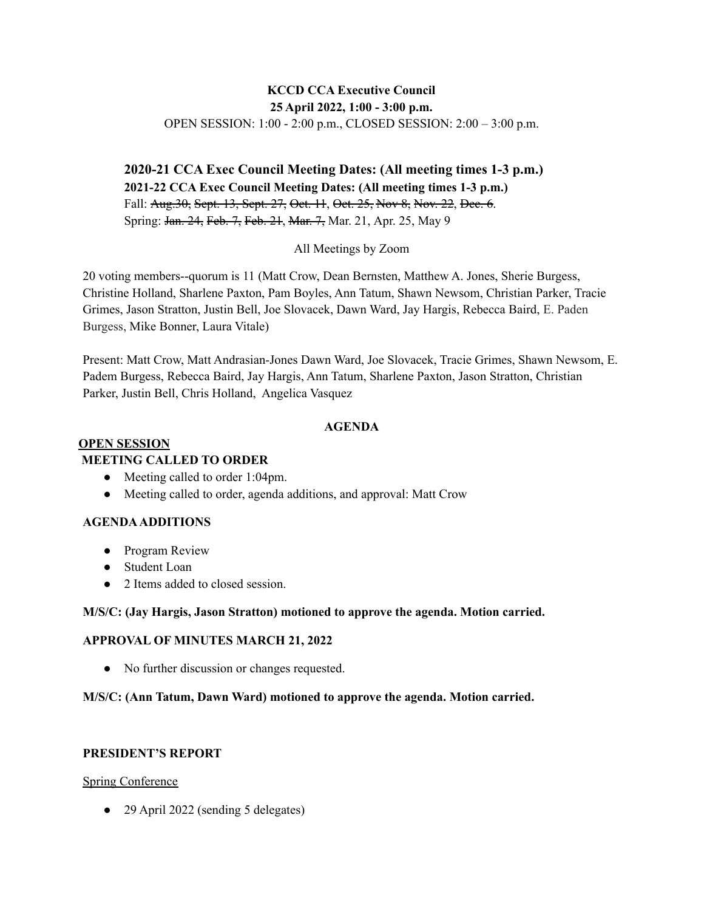# **KCCD CCA Executive Council 25 April 2022, 1:00 - 3:00 p.m.**

OPEN SESSION: 1:00 - 2:00 p.m., CLOSED SESSION: 2:00 – 3:00 p.m.

**2020-21 CCA Exec Council Meeting Dates: (All meeting times 1-3 p.m.) 2021-22 CCA Exec Council Meeting Dates: (All meeting times 1-3 p.m.)** Fall: Aug. 30, Sept. 13, Sept. 27, Oct. 11, Oct. 25, Nov 8, Nov. 22, Dec. 6. Spring: Jan. 24, Feb. 7, Feb. 21, Mar. 7, Mar. 21, Apr. 25, May 9

### All Meetings by Zoom

20 voting members--quorum is 11 (Matt Crow, Dean Bernsten, Matthew A. Jones, Sherie Burgess, Christine Holland, Sharlene Paxton, Pam Boyles, Ann Tatum, Shawn Newsom, Christian Parker, Tracie Grimes, Jason Stratton, Justin Bell, Joe Slovacek, Dawn Ward, Jay Hargis, Rebecca Baird, E. Paden Burgess, Mike Bonner, Laura Vitale)

Present: Matt Crow, Matt Andrasian-Jones Dawn Ward, Joe Slovacek, Tracie Grimes, Shawn Newsom, E. Padem Burgess, Rebecca Baird, Jay Hargis, Ann Tatum, Sharlene Paxton, Jason Stratton, Christian Parker, Justin Bell, Chris Holland, Angelica Vasquez

## **AGENDA**

#### **OPEN SESSION MEETING CALLED TO ORDER**

- Meeting called to order 1:04pm.
- Meeting called to order, agenda additions, and approval: Matt Crow

## **AGENDAADDITIONS**

- Program Review
- Student Loan
- 2 Items added to closed session.

#### **M/S/C: (Jay Hargis, Jason Stratton) motioned to approve the agenda. Motion carried.**

#### **APPROVAL OF MINUTES MARCH 21, 2022**

• No further discussion or changes requested.

#### **M/S/C: (Ann Tatum, Dawn Ward) motioned to approve the agenda. Motion carried.**

## **PRESIDENT'S REPORT**

#### Spring Conference

• 29 April 2022 (sending 5 delegates)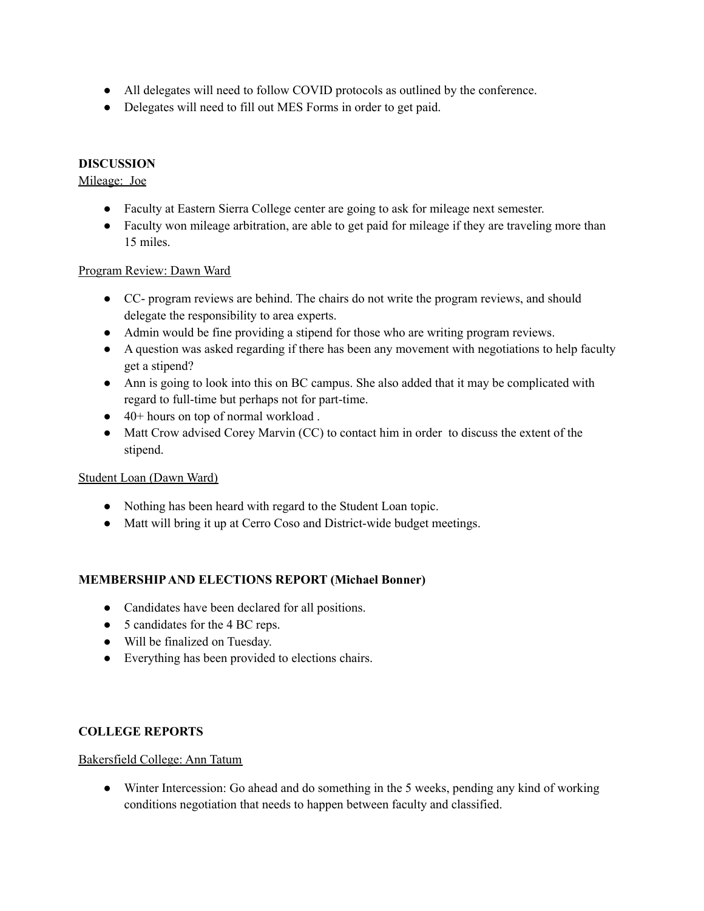- All delegates will need to follow COVID protocols as outlined by the conference.
- Delegates will need to fill out MES Forms in order to get paid.

# **DISCUSSION**

## Mileage: Joe

- Faculty at Eastern Sierra College center are going to ask for mileage next semester.
- Faculty won mileage arbitration, are able to get paid for mileage if they are traveling more than 15 miles.

### Program Review: Dawn Ward

- CC- program reviews are behind. The chairs do not write the program reviews, and should delegate the responsibility to area experts.
- Admin would be fine providing a stipend for those who are writing program reviews.
- A question was asked regarding if there has been any movement with negotiations to help faculty get a stipend?
- Ann is going to look into this on BC campus. She also added that it may be complicated with regard to full-time but perhaps not for part-time.
- 40+ hours on top of normal workload .
- Matt Crow advised Corey Marvin (CC) to contact him in order to discuss the extent of the stipend.

#### Student Loan (Dawn Ward)

- Nothing has been heard with regard to the Student Loan topic.
- Matt will bring it up at Cerro Coso and District-wide budget meetings.

## **MEMBERSHIPAND ELECTIONS REPORT (Michael Bonner)**

- Candidates have been declared for all positions.
- 5 candidates for the 4 BC reps.
- Will be finalized on Tuesday.
- Everything has been provided to elections chairs.

## **COLLEGE REPORTS**

#### Bakersfield College: Ann Tatum

• Winter Intercession: Go ahead and do something in the 5 weeks, pending any kind of working conditions negotiation that needs to happen between faculty and classified.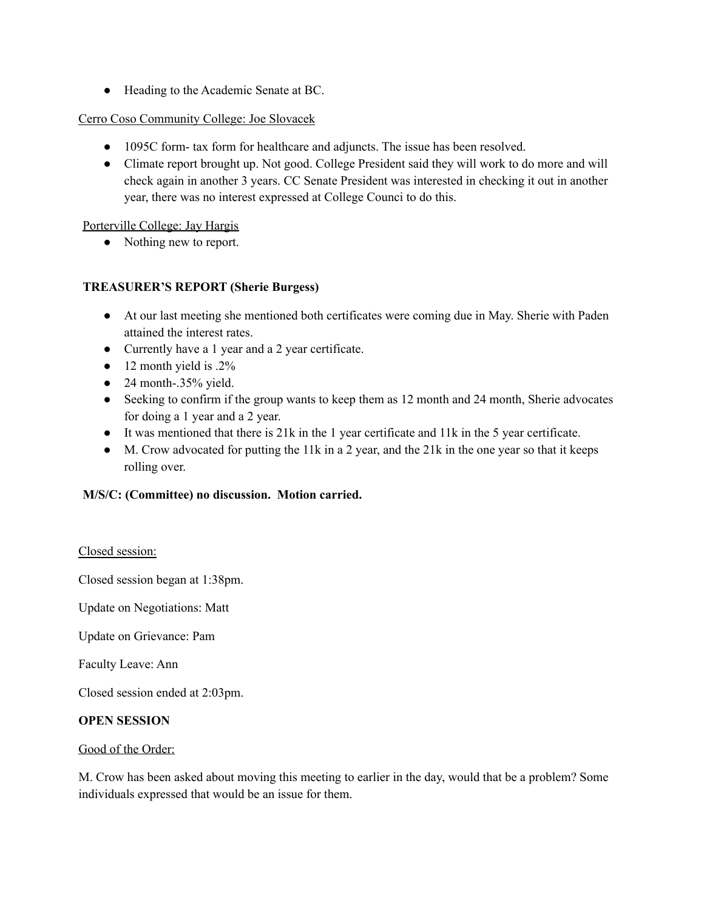● Heading to the Academic Senate at BC.

### Cerro Coso Community College: Joe Slovacek

- 1095C form- tax form for healthcare and adjuncts. The issue has been resolved.
- Climate report brought up. Not good. College President said they will work to do more and will check again in another 3 years. CC Senate President was interested in checking it out in another year, there was no interest expressed at College Counci to do this.

Porterville College: Jay Hargis

• Nothing new to report.

## **TREASURER'S REPORT (Sherie Burgess)**

- At our last meeting she mentioned both certificates were coming due in May. Sherie with Paden attained the interest rates.
- Currently have a 1 year and a 2 year certificate.
- $\bullet$  12 month yield is .2%
- $\bullet$  24 month-.35% yield.
- Seeking to confirm if the group wants to keep them as 12 month and 24 month, Sherie advocates for doing a 1 year and a 2 year.
- It was mentioned that there is 21k in the 1 year certificate and 11k in the 5 year certificate.
- M. Crow advocated for putting the 11k in a 2 year, and the 21k in the one year so that it keeps rolling over.

## **M/S/C: (Committee) no discussion. Motion carried.**

#### Closed session:

Closed session began at 1:38pm.

Update on Negotiations: Matt

Update on Grievance: Pam

Faculty Leave: Ann

Closed session ended at 2:03pm.

#### **OPEN SESSION**

#### Good of the Order:

M. Crow has been asked about moving this meeting to earlier in the day, would that be a problem? Some individuals expressed that would be an issue for them.